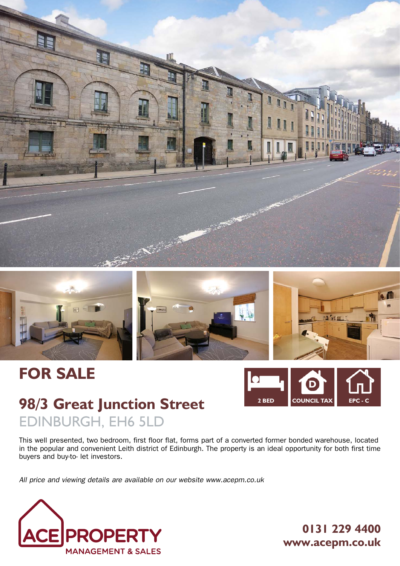



# **FOR SALE**



# **98/3 Great Junction Street** EDINBURGH, EH6 5LD

This well presented, two bedroom, first floor flat, forms part of a converted former bonded warehouse, located in the popular and convenient Leith district of Edinburgh. The property is an ideal opportunity for both first time buyers and buy-to- let investors.

*All price and viewing details are available on our website www.acepm.co.uk*



**0131 229 4400 www.acepm.co.uk**